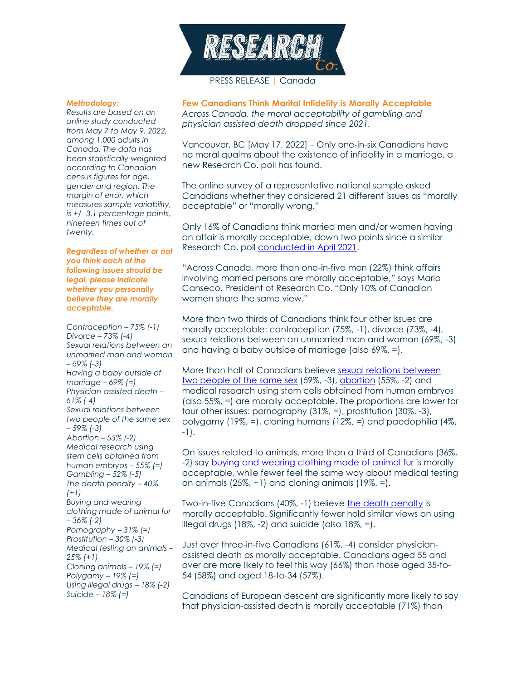

# PRESS RELEASE | Canada

#### *Methodology:*

*Results are based on an online study conducted from May 7 to May 9, 2022, among 1,000 adults in Canada. The data has been statistically weighted according to Canadian census figures for age, gender and region. The margin of error, which measures sample variability, is +/- 3.1 percentage points, nineteen times out of twenty.*

### *Regardless of whether or not you think each of the following issues should be legal, please indicate whether you personally believe they are morally acceptable.*

*Contraception – 75% (-1) Divorce – 73% (-4) Sexual relations between an unmarried man and woman – 69% (-3) Having a baby outside of marriage – 69% (=) Physician-assisted death – 61% (-4) Sexual relations between two people of the same sex – 59% (-3) Abortion – 55% (-2) Medical research using stem cells obtained from human embryos – 55% (=) Gambling – 52% (-5) The death penalty – 40% (+1) Buying and wearing clothing made of animal fur – 36% (-2) Pornography – 31% (=) Prostitution – 30% (-3) Medical testing on animals – 25% (+1) Cloning animals – 19% (=) Polygamy – 19% (=) Using illegal drugs – 18% (-2) Suicide – 18% (=)*

**Few Canadians Think Marital Infidelity is Morally Acceptable** *Across Canada, the moral acceptability of gambling and physician assisted death dropped since 2021.*

Vancouver, BC [May 17, 2022] – Only one-in-six Canadians have no moral qualms about the existence of infidelity in a marriage, a new Research Co. poll has found.

The online survey of a representative national sample asked Canadians whether they considered 21 different issues as "morally acceptable" or "morally wrong."

Only 16% of Canadians think married men and/or women having an affair is morally acceptable, down two points since a similar Research Co. poll [conducted in April 2021.](https://researchco.ca/2021/04/30/canada-morality/)

"Across Canada, more than one-in-five men (22%) think affairs involving married persons are morally acceptable," says Mario Canseco, President of Research Co. "Only 10% of Canadian women share the same view."

More than two thirds of Canadians think four other issues are morally acceptable: contraception (75%, -1), divorce (73%, -4), sexual relations between an unmarried man and woman (69%, -3) and having a baby outside of marriage (also 69%, =).

More than half of Canadians believe [sexual relations between](https://researchco.ca/2022/04/29/ct-canada/)  [two people of the same sex](https://researchco.ca/2022/04/29/ct-canada/) (59%, -3), [abortion](https://researchco.ca/2022/05/09/abortion-canada/) (55%, -2) and medical research using stem cells obtained from human embryos (also 55%, =) are morally acceptable. The proportions are lower for four other issues: pornography (31%, =), prostitution (30%, -3), polygamy (19%, =), cloning humans (12%, =) and paedophilia (4%, -1).

On issues related to animals, more than a third of Canadians (36%, -2) say [buying and wearing clothing made of animal fur](https://researchco.ca/2022/04/08/animals-canada-2/) is morally acceptable, while fewer feel the same way about medical testing on animals  $(25\%, +1)$  and cloning animals  $(19\%, =)$ .

Two-in-five Canadians (40%, -1) believe [the death penalty](https://researchco.ca/2022/03/11/death-penalty-canada/) is morally acceptable. Significantly fewer hold similar views on using illegal drugs (18%, -2) and suicide (also 18%, =).

Just over three-in-five Canadians (61%, -4) consider physicianassisted death as morally acceptable. Canadians aged 55 and over are more likely to feel this way (66%) than those aged 35-to-54 (58%) and aged 18-to-34 (57%).

Canadians of European descent are significantly more likely to say that physician-assisted death is morally acceptable (71%) than